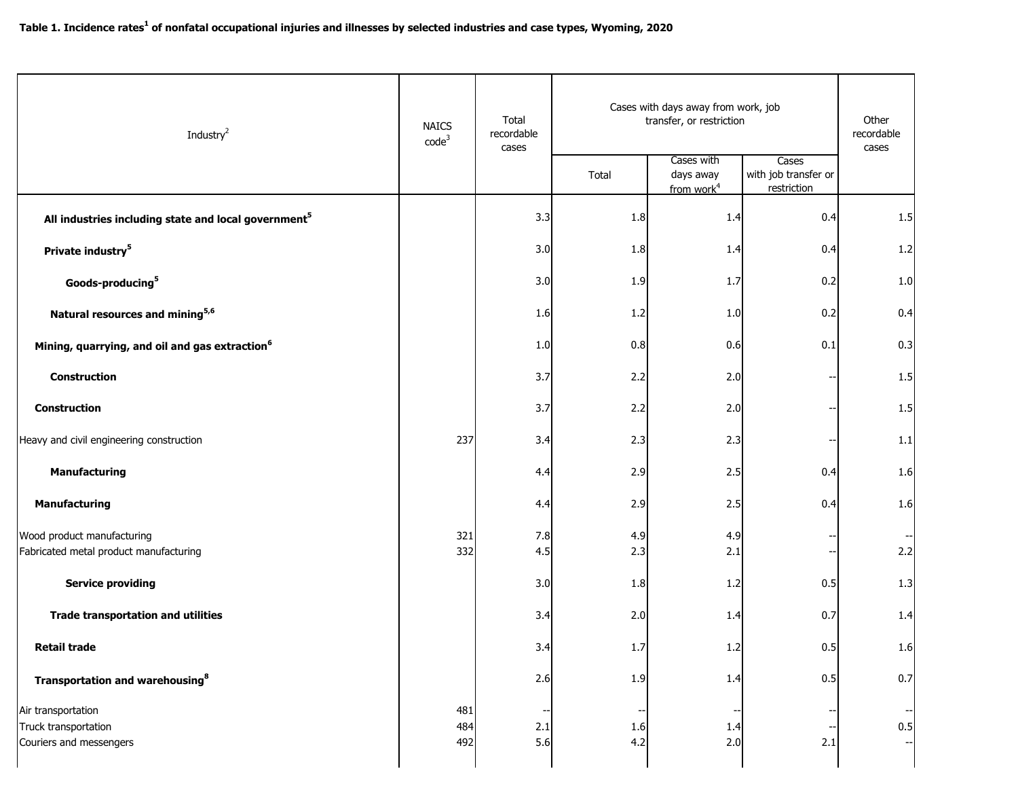| Industry <sup>2</sup>                                                 | <b>NAICS</b><br>code <sup>3</sup> | Total<br>recordable<br>cases | Cases with days away from work, job<br>transfer, or restriction |                                                   |                                              | Other<br>recordable<br>cases |
|-----------------------------------------------------------------------|-----------------------------------|------------------------------|-----------------------------------------------------------------|---------------------------------------------------|----------------------------------------------|------------------------------|
|                                                                       |                                   |                              | Total                                                           | Cases with<br>days away<br>from work <sup>4</sup> | Cases<br>with job transfer or<br>restriction |                              |
| All industries including state and local government <sup>5</sup>      |                                   | 3.3                          | 1.8                                                             | 1.4                                               | 0.4                                          | 1.5                          |
| Private industry <sup>5</sup>                                         |                                   | 3.0                          | 1.8                                                             | 1.4                                               | 0.4                                          | 1.2                          |
| Goods-producing <sup>5</sup>                                          |                                   | 3.0                          | 1.9                                                             | 1.7                                               | 0.2                                          | 1.0                          |
| Natural resources and mining <sup>5,6</sup>                           |                                   | 1.6                          | 1.2                                                             | 1.0                                               | 0.2                                          | 0.4                          |
| Mining, quarrying, and oil and gas extraction <sup>6</sup>            |                                   | 1.0                          | 0.8                                                             | 0.6                                               | 0.1                                          | 0.3                          |
| <b>Construction</b>                                                   |                                   | 3.7                          | 2.2                                                             | 2.0                                               |                                              | 1.5                          |
| Construction                                                          |                                   | 3.7                          | 2.2                                                             | 2.0                                               | --                                           | 1.5                          |
| Heavy and civil engineering construction                              | 237                               | 3.4                          | 2.3                                                             | 2.3                                               |                                              | 1.1                          |
| <b>Manufacturing</b>                                                  |                                   | 4.4                          | 2.9                                                             | 2.5                                               | 0.4                                          | 1.6                          |
| <b>Manufacturing</b>                                                  |                                   | 4.4                          | 2.9                                                             | 2.5                                               | 0.4                                          | 1.6                          |
| Wood product manufacturing<br>Fabricated metal product manufacturing  | 321<br>332                        | 7.8<br>4.5                   | 4.9<br>2.3                                                      | 4.9<br>2.1                                        |                                              | 2.2                          |
| <b>Service providing</b>                                              |                                   | 3.0                          | 1.8                                                             | 1.2                                               | 0.5                                          | 1.3                          |
| <b>Trade transportation and utilities</b>                             |                                   | 3.4                          | 2.0                                                             | 1.4                                               | 0.7                                          | 1.4                          |
| <b>Retail trade</b>                                                   |                                   | 3.4                          | 1.7                                                             | $1.2$                                             | 0.5                                          | 1.6                          |
| Transportation and warehousing <sup>8</sup>                           |                                   | 2.6                          | 1.9                                                             | 1.4                                               | 0.5                                          | 0.7                          |
| Air transportation<br>Truck transportation<br>Couriers and messengers | 481<br>484<br>492                 | 2.1<br>5.6                   | 1.6<br>4.2                                                      | 1.4<br>2.0                                        | 2.1                                          | 0.5                          |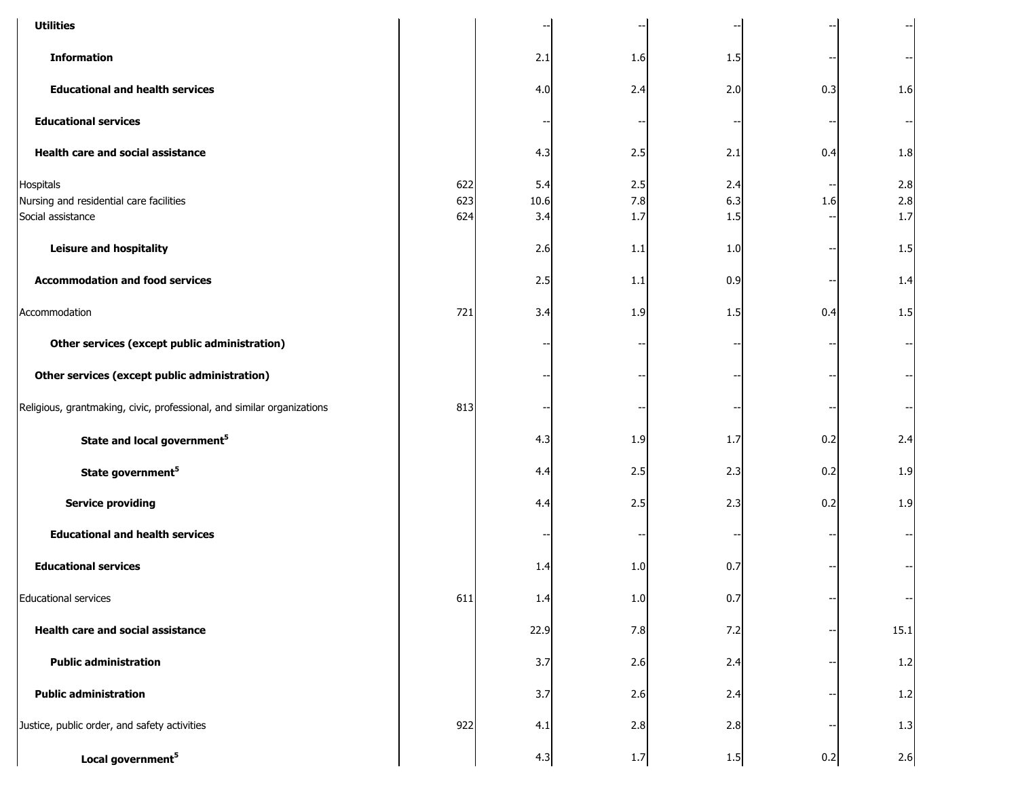| <b>Utilities</b>                                                          |                   |                    |                   |                   |     |                     |
|---------------------------------------------------------------------------|-------------------|--------------------|-------------------|-------------------|-----|---------------------|
| <b>Information</b>                                                        |                   | 2.1                | 1.6               | 1.5               |     |                     |
| <b>Educational and health services</b>                                    |                   | 4.0                | 2.4               | 2.0               | 0.3 | 1.6                 |
| <b>Educational services</b>                                               |                   |                    |                   |                   |     |                     |
| Health care and social assistance                                         |                   | 4.3                | 2.5               | 2.1               | 0.4 | 1.8                 |
| Hospitals<br>Nursing and residential care facilities<br>Social assistance | 622<br>623<br>624 | 5.4<br>10.6<br>3.4 | 2.5<br>7.8<br>1.7 | 2.4<br>6.3<br>1.5 | 1.6 | 2.8<br>2.8<br>$1.7$ |
| <b>Leisure and hospitality</b>                                            |                   | 2.6                | 1.1               | 1.0               |     | 1.5                 |
| <b>Accommodation and food services</b>                                    |                   | 2.5                | 1.1               | 0.9               |     | 1.4                 |
| Accommodation                                                             | 721               | 3.4                | 1.9               | 1.5               | 0.4 | 1.5                 |
| Other services (except public administration)                             |                   |                    |                   |                   |     |                     |
| Other services (except public administration)                             |                   |                    |                   |                   |     |                     |
| Religious, grantmaking, civic, professional, and similar organizations    | 813               |                    |                   |                   |     |                     |
| State and local government <sup>5</sup>                                   |                   | 4.3                | 1.9               | 1.7               | 0.2 | 2.4                 |
| State government <sup>5</sup>                                             |                   | 4.4                | 2.5               | 2.3               | 0.2 | 1.9                 |
| <b>Service providing</b>                                                  |                   | 4.4                | 2.5               | 2.3               | 0.2 | 1.9                 |
| <b>Educational and health services</b>                                    |                   |                    |                   |                   |     |                     |
| <b>Educational services</b>                                               |                   | 1.4                | 1.0               | 0.7               |     |                     |
| <b>Educational services</b>                                               | 611               | 1.4                | $1.0$             | 0.7               |     |                     |
| <b>Health care and social assistance</b>                                  |                   | 22.9               | 7.8               | 7.2               |     | 15.1                |
| <b>Public administration</b>                                              |                   | 3.7                | 2.6               | 2.4               |     | 1.2                 |
| <b>Public administration</b>                                              |                   | 3.7                | 2.6               | 2.4               |     | 1.2                 |
| Justice, public order, and safety activities                              | 922               | 4.1                | 2.8               | 2.8               |     | 1.3                 |
| Local government <sup>5</sup>                                             |                   | 4.3                | 1.7               | 1.5               | 0.2 | 2.6                 |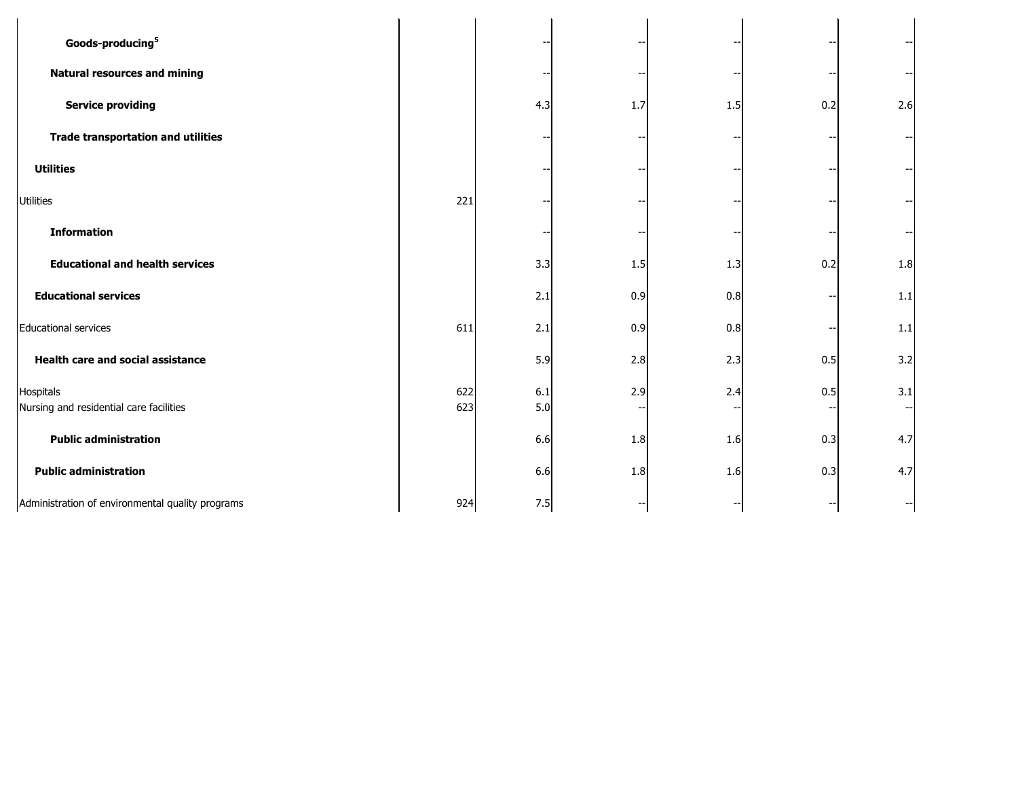| Goods-producing <sup>5</sup>                         |            |            |     |     |     |     |  |
|------------------------------------------------------|------------|------------|-----|-----|-----|-----|--|
| <b>Natural resources and mining</b>                  |            |            |     |     |     |     |  |
| <b>Service providing</b>                             |            | 4.3        | 1.7 | 1.5 | 0.2 | 2.6 |  |
| <b>Trade transportation and utilities</b>            |            |            |     |     |     |     |  |
| <b>Utilities</b>                                     |            |            |     |     |     |     |  |
| <b>Utilities</b>                                     | 221        |            |     |     |     |     |  |
| <b>Information</b>                                   |            |            |     |     |     |     |  |
| <b>Educational and health services</b>               |            | 3.3        | 1.5 | 1.3 | 0.2 | 1.8 |  |
| <b>Educational services</b>                          |            | 2.1        | 0.9 | 0.8 |     | 1.1 |  |
| <b>Educational services</b>                          | 611        | 2.1        | 0.9 | 0.8 |     | 1.1 |  |
| <b>Health care and social assistance</b>             |            | 5.9        | 2.8 | 2.3 | 0.5 | 3.2 |  |
| Hospitals<br>Nursing and residential care facilities | 622<br>623 | 6.1<br>5.0 | 2.9 | 2.4 | 0.5 | 3.1 |  |
| <b>Public administration</b>                         |            | 6.6        | 1.8 | 1.6 | 0.3 | 4.7 |  |
| <b>Public administration</b>                         |            | 6.6        | 1.8 | 1.6 | 0.3 | 4.7 |  |
| Administration of environmental quality programs     | 924        | 7.5        |     |     |     |     |  |